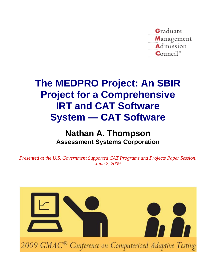

# **The MEDPRO Project: An SBIR Project for a Comprehensive IRT and CAT Software System — CAT Software**

# **Nathan A. Thompson Assessment Systems Corporation**

*Presented at the U.S. Government Supported CAT Programs and Projects Paper Session, June 2, 2009*

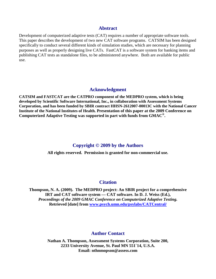#### **Abstract**

Development of computerized adaptive tests (CAT) requires a number of appropriate software tools. This paper describes the development of two new CAT software programs. CATSIM has been designed specifically to conduct several different kinds of simulation studies, which are necessary for planning purposes as well as properly designing live CATs. FastCAT is a software system for banking items and publishing CAT tests as standalone files, to be administered anywhere. Both are available for public use.

#### **Acknowledgment**

**CATSIM and FASTCAT are the CATPRO component of the MEDPRO system, which is being developed by Scientific Software International, Inc., in collaboration with Assessment Systems Corporation, and has been funded by SBIR contract HHSN-2612007-00013C with the National Cancer Institute of the National Institutes of Health. Presentation of this paper at the 2009 Conference on Computerized Adaptive Testing was supported in part with funds from GMAC®.**

#### **Copyright © 2009 by the Authors**

**All rights reserved. Permission is granted for non-commercial use.**

### **Citation**

**Thompson, N. A. (2009). The MEDPRO project: An SBIR project for a comprehensive IRT and CAT software system — CAT software. In D. J. Weiss (Ed.),**  *Proceedings of the 2009 GMAC Conference on Computerized Adaptive Testing.*  **Retrieved [date] from [www.psych.umn.edu/psylabs/CATCentral/](http://www.psych.umn.edu/psylabs/CATCentral/)**

## **Author Contact**

**Nathan A. Thompson, Assessment Systems Corporation, Suite 200, 2233 University Avenue, St. Paul MN 551`14, U.S.A. Email: nthnmopson@assess.com**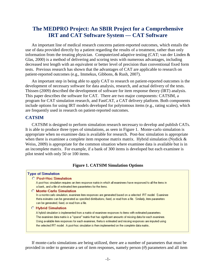# **The MEDPRO Project: An SBIR Project for a Comprehensive IRT and CAT Software System — CAT Software**

An important line of medical research concerns patient-reported outcomes, which entails the use of data provided directly by a patient regarding the results of a treatment, rather than only information from the treating physician. Computerized adaptive testing (CAT; van der Linden & Glas, 2000) is a method of delivering and scoring tests with numerous advantages, including decreased test length with an equivalent or better level of precision than conventional fixed form tests. Previous research has shown that the advantages of CAT are applicable to research on patient-reported outcomes (e.g., Immekus, Gibbons, & Rush, 2007).

An important step in being able to apply CAT to research on patient-reported outcomes is the development of necessary software for data analysis, research, and actual delivery of the tests. Thissen (2009) described the development of software for item response theory (IRT) analysis. This paper describes the software for CAT. There are two major components: CATSIM, a program for CAT simulation research, and FastCAT, a CAT delivery platform. Both components include options for using IRT models developed for polytomous items (e.g., rating scales), which are frequently used in research on patient-reported outcomes.

### **CATSIM**

CATSIM is designed to perform simulation research necessary to develop and publish CATs. It is able to produce three types of simulations, as seen in Figure 1. Monte-carlo simulation is appropriate when no examinee data is available for research. Post-hoc simulation is appropriate when there is examinee a complete item response matrix matrix. Hybrid simulation (Nydick & Weiss, 2009) is appropriate for the common situation where examinee data is available but is in an incomplete matrix. For example, if a bank of 300 items is developed but each examinee is pilot tested with only 50 or 100 items.

#### **Figure 1. CATSIM Simulation Options**

| <b>Type of Simulation</b>                                                                                          |
|--------------------------------------------------------------------------------------------------------------------|
| <b>C</b> Post-Hoc Simulation                                                                                       |
| A post-hoc simulation requires an item response matrix in which all examinees have responsed to all the items in   |
| a bank, and a file of estimated item paramteters for the items.                                                    |
| <b>Monte-Carlo Simulation</b>                                                                                      |
| In a monte-carlo simulation, examinee item responses are generated based on a selected IRT model. Examinee         |
| theta esimates can be generated as specified distributions, fixed, or read from a file. Similarly, item parameters |
| can be generated, fixed, or read from a file.                                                                      |
| <b>C</b> Hybrid Simulation                                                                                         |
| A hybrid simulation is implemented from a matrix of examinee responses to items with estimated parameters.         |
| The examinee data matrix is a "sparse" matrix that has significant amounts of missing data for each examinee.      |
| Using available item responses for each examinee, theta is estimated and missing responses are imputed using       |
| the selected IRT model. A post-hoc simulation is then implemented on the complete data matrix                      |
|                                                                                                                    |

If monte-carlo simulations are being utilized, there are a number of parameters that must be provided in order to generate a set of item responses, namely person (*θ*) parameters and all item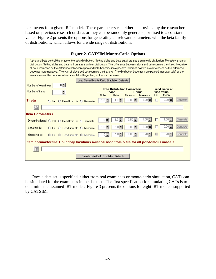parameters for a given IRT model. These parameters can either be provided by the researcher based on previous research or data, or they can be randomly generated, or fixed to a constant value. Figure 2 presents the options for generating all relevant parameters with the beta family of distributions, which allows for a wide range of distributions.

| Alpha and beta control the shape of the beta distribution. Setting alpha and beta equal creates a symmetric distribution. 5 creates a normal<br>distribution. Setting alpha and beta to 1 creates a uniform distribution. The diifference between alpha and beta controls the skew. Negative<br>skew is increased as the difference betweeen alpha and beta becomes more positive, whereas postive skew increases as the difference<br>becomes more negative. The sum of alpha and beta controls the flatness. The distribution becomes more peaked (narrower tails) as the<br>sum increases; the distribution becomes flatter (larger tails) as the sum decreases. |                                                                                                                                                                 |  |  |  |  |  |  |  |
|---------------------------------------------------------------------------------------------------------------------------------------------------------------------------------------------------------------------------------------------------------------------------------------------------------------------------------------------------------------------------------------------------------------------------------------------------------------------------------------------------------------------------------------------------------------------------------------------------------------------------------------------------------------------|-----------------------------------------------------------------------------------------------------------------------------------------------------------------|--|--|--|--|--|--|--|
|                                                                                                                                                                                                                                                                                                                                                                                                                                                                                                                                                                                                                                                                     | Load Saved Monte-Carlo Simulation Defaults                                                                                                                      |  |  |  |  |  |  |  |
| Number of examinees<br>0≑<br>Number of items<br>0≑                                                                                                                                                                                                                                                                                                                                                                                                                                                                                                                                                                                                                  | <b>Beta Distribution Parameters</b><br><b>Fixed mean or</b><br>Shape   Range<br>fixed value<br><b>Fix</b><br>Mean<br>Minimum<br>Maximum<br>Alpha<br><b>Beta</b> |  |  |  |  |  |  |  |
| Theta<br><b>O. Fix.</b> C. Read from file. C. Generate                                                                                                                                                                                                                                                                                                                                                                                                                                                                                                                                                                                                              | 3.00<br>n nn<br>$-3.00$<br>Generat                                                                                                                              |  |  |  |  |  |  |  |
|                                                                                                                                                                                                                                                                                                                                                                                                                                                                                                                                                                                                                                                                     |                                                                                                                                                                 |  |  |  |  |  |  |  |
| <b>Item Parameters</b>                                                                                                                                                                                                                                                                                                                                                                                                                                                                                                                                                                                                                                              |                                                                                                                                                                 |  |  |  |  |  |  |  |
| Discrimination (a) O Fix O Read from file O Generate                                                                                                                                                                                                                                                                                                                                                                                                                                                                                                                                                                                                                | Generate<br>0.50                                                                                                                                                |  |  |  |  |  |  |  |
| Location (b)<br>○ Fix ○ Read from file ○ Generate                                                                                                                                                                                                                                                                                                                                                                                                                                                                                                                                                                                                                   | Generate<br>3.00                                                                                                                                                |  |  |  |  |  |  |  |
| Guessing [c]<br>C Fix C Read from file C Generate                                                                                                                                                                                                                                                                                                                                                                                                                                                                                                                                                                                                                   | Generate                                                                                                                                                        |  |  |  |  |  |  |  |
|                                                                                                                                                                                                                                                                                                                                                                                                                                                                                                                                                                                                                                                                     | Item parameter file: Boundary locations must be read from a file for all polytomous models                                                                      |  |  |  |  |  |  |  |
|                                                                                                                                                                                                                                                                                                                                                                                                                                                                                                                                                                                                                                                                     |                                                                                                                                                                 |  |  |  |  |  |  |  |
|                                                                                                                                                                                                                                                                                                                                                                                                                                                                                                                                                                                                                                                                     | Save Monte-Carlo Simulation Defaults                                                                                                                            |  |  |  |  |  |  |  |

# **Figure 2. CATSIM Monte-Carlo Options**

Once a data set is specified, either from real examinees or monte-carlo simulation, CATs can be simulated for the examinees in the data set. The first specification for simulating CATs is to determine the assumed IRT model. Figure 3 presents the options for eight IRT models supported by CATSIM.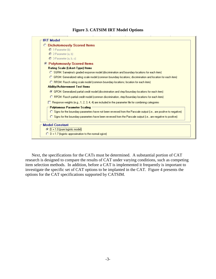### **Figure 3. CATSIM IRT Model Options**



Next, the specifications for the CATs must be determined. A substantial portion of CAT research is designed to compare the results of CAT under varying conditions, such as competing item selection methods. In addition, before a CAT is implemented it frequently is important to investigate the specific set of CAT options to be implanted in the CAT. Figure 4 presents the options for the CAT specifications supported by CATSIM.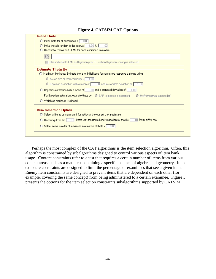#### **Figure 4. CATSIM CAT Options**

| <b>Initial Theta</b>                                                                                      |
|-----------------------------------------------------------------------------------------------------------|
| $\bigcirc$ Initial theta for all examinees is $\bigcirc$ 0.00                                             |
| $\bigcirc$ Intital theta is random in the interval $\bigcirc$ -1.00 to $\bigcirc$ 1.00                    |
| ◯ Read intial thetas and SEMs for each examinee from a file                                               |
|                                                                                                           |
| □ Use individual SEMs as Bayesian prior SDs when Bayesian scoring is selected                             |
| Estimate Theta By                                                                                         |
| ○ Maximum likelihood: Estimate theta for initial items for non-mixed response patterns using              |
| $\bigcirc$ A step size of theta/difficulty = $\big[$ 1.00                                                 |
| $\bigcirc$ Bayesian estimation with a mean of $\bigcirc$ 0.00 and a standard deviation of $\bigcirc$ 1.00 |
| $\bigcirc$ Bayesian estimation with a mean of $\bigcirc$ 0.00 and a standard deviation of $\bigcirc$ 1.00 |
| For Bayesian estimation, estimate theta by C EAP (expected a posteriori)<br>MAP (maximum a posteriori)    |
| O Weighted maximum likelihood                                                                             |

Perhaps the most complex of the CAT algorithms is the item selection algorithm. Often, this algorithm is constrained by subalgorithms designed to control various aspects of item bank usage. Content constraints refer to a test that requires a certain number of items from various content areas, such as a math test containing a specific balance of algebra and geometry. Item exposure constraints are designed to limit the percentage of examinees that see a given item. Enemy item constraints are designed to prevent items that are dependent on each other (for example, covering the same concept) from being administered to a certain examinee. Figure 5 presents the options for the item selection constraints subalgorithms supported by CATSIM.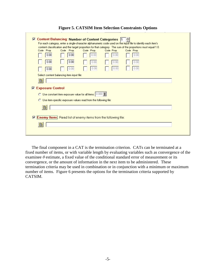| <b>☑ Content Balancing: Number of Content Categories 5</b>                                                                                                                           |  |
|--------------------------------------------------------------------------------------------------------------------------------------------------------------------------------------|--|
| For each category, enter a single-character alphanumeric code used on the input file to identify each item's                                                                         |  |
| content classification and the target proportion for that category. The sum of the proportions must equal 1.0.<br>Code Prop.<br>Code Prop.<br>Code Prop.<br>Code Prop.<br>Code Prop. |  |
| 0.00<br>0.00<br>0.00<br>0.00<br>0.00                                                                                                                                                 |  |
| 0.00<br>0.00<br>o.or<br>n nr                                                                                                                                                         |  |
| 0.00<br>0.00<br>0.00<br>0.00<br>0.00                                                                                                                                                 |  |
| Select content balancing item input file:                                                                                                                                            |  |
| B                                                                                                                                                                                    |  |
| <b>Exposure Control</b><br>▿                                                                                                                                                         |  |
| O Use constant item exposure value for all items: 0.000                                                                                                                              |  |
| $\bigcirc$ Use item-specific exposure values read from the following file:                                                                                                           |  |
| 昏                                                                                                                                                                                    |  |
|                                                                                                                                                                                      |  |
| Enemy Items: Read list of enemy items from the following file:<br>罓                                                                                                                  |  |
| B                                                                                                                                                                                    |  |
|                                                                                                                                                                                      |  |
|                                                                                                                                                                                      |  |

**Figure 5. CATSIM Item Selection Constraints Options**

The final component in a CAT is the termination criterion. CATs can be terminated at a fixed number of items, or with variable length by evaluating variables such as convergence of the examinee  $\theta$  estimate, a fixed value of the conditional standard error of measurement or its convergence, or the amount of information in the next item to be administered. These termination criteria may be used in combination or in conjunction with a minimum or maximum number of items. Figure 6 presents the options for the termination criteria supported by CATSIM.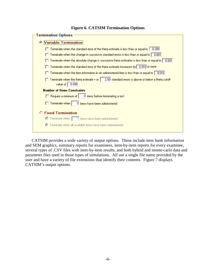| <b>Termination Options</b>                                                                                                           |
|--------------------------------------------------------------------------------------------------------------------------------------|
|                                                                                                                                      |
| <b>Variable Termination</b><br>$\bullet$                                                                                             |
|                                                                                                                                      |
| Terminate when the standard error of the theta estimate is less than or equal to $\parallel$<br>0.200                                |
| Terminate when the change in succesive standard errors is less than or equal to $\mid\mid 0.001\mid$                                 |
| Terminate when the absolute change is succesive theta estimates is less than or equal to $\lceil 0.001 \rceil$                       |
| Terminate when the standard error of the theta estimate increases by 0.010 or more                                                   |
| Terminate when the item information in an administered item is less than or equal to $\lceil \,\,0.010 \rceil$                       |
| 2.00 standard errors is above or below a theta cutoff<br>Terminate when the theta estimate $+$ or $\parallel$<br>value of  <br>0.000 |
| <b>Number of Items Constraints</b>                                                                                                   |
| 0 items before terminating a test<br>Require a minimum of                                                                            |
| 0 items have been administered<br>Terminate when                                                                                     |
| <b>Fixed Termination</b>                                                                                                             |
| Terminate when 1 items have been administered<br>o                                                                                   |
| Terminate when all available items have been administered<br>c                                                                       |
|                                                                                                                                      |

#### **Figure 6. CATSIM Termination Options**

CATSIM provides a wide variety of output options. These include item bank information and SEM graphics, summary reports for examinees, item-by-item reports for every examinee, several types of .CSV files with item-by-item results, and both hybrid and monte-carlo data and parameter files used in those types of simulations. All use a single file name provided by the user and have a variety of file extensions that identify their contents. Figure 7 displays CATSIM's output options.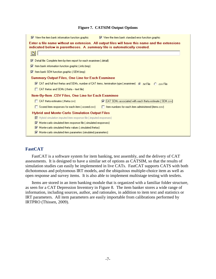#### **Figure 7. CATSIM Output Options**

| $\triangledown$ View the item bank information function graphic                                                                | $\triangledown$ View the item bank standard error function graphic                              |
|--------------------------------------------------------------------------------------------------------------------------------|-------------------------------------------------------------------------------------------------|
| indicated below in parentheses. A summary file is automatically created.                                                       | Enter a file name without an extension. All output files will have this name and the extensions |
|                                                                                                                                |                                                                                                 |
| $\nabla$ Detail file: Complete item-by-item report for each examinee [.detail]                                                 |                                                                                                 |
| Item bank information function graphic (.info.bmp)<br>罓                                                                        |                                                                                                 |
| $\triangledown$ Item bank SEM function graphic (.SEM.bmp)                                                                      |                                                                                                 |
| Summary Output Files, One Line for Each Examinee                                                                               |                                                                                                 |
| $\nabla$ CAT and full test thetas and SEMs, number of CAT items, termination type (.examinee) $\langle \cdot \rangle$ txt File | <b>CL</b> csv File                                                                              |
| CAT thetas and SEMs (theta -- text file)<br>п.                                                                                 |                                                                                                 |
| Item-By-Item .CSV Files, One Line for Each Examinee                                                                            |                                                                                                 |
| CAT theta estimates (.theta.csv)                                                                                               | [CAT SEMs associated with each theta estimate (SEM.csv)                                         |
| Scored item responses for each item [.scored.csv]                                                                              | Item numbers for each item administered (items.csv)                                             |
| <b>Hybrid and Monte-Carlo Simulation Output Files</b>                                                                          |                                                                                                 |
| $\overline{\nabla}$ Hybrid simulation imputed item response file (limputed.responses)                                          |                                                                                                 |
| Monte-carlo simulated item response file [.simulated.responses]<br>⊽                                                           |                                                                                                 |
| Monte-carlo simulated theta values [.simulated.thetas]<br>⊽                                                                    |                                                                                                 |
| $\nabla$ Monte-carlo simulated item parameters (simulated parameters)                                                          |                                                                                                 |

#### **FastCAT**

FastCAT is a software system for item banking, test assembly, and the delivery of CAT assessments. It is designed to have a similar set of options as CATSIM, so that the results of simulation studies can easily be implemented in live CATs. FastCAT supports CATS with both dichotomous and polytomous IRT models, and the ubiquitous multiple-choice item as well as open response and survey items. It is also able to implement multistage testing with testlets.

Items are stored in an item banking module that is organized with a familiar folder structure, as seen for a CAT Depression Inventory in Figure 8. The item banker stores a wide range of information, including sources, author, and rationales, in addition to item text and statistics or IRT parameters. All item parameters are easily importable from calibrations performed by IRTPRO (Thissen, 2009).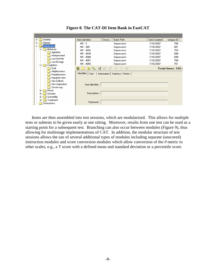| Anxiety<br>Ŧ.                | Item Identifier         | Descri<br><b>Bank Path</b>       | Date Created | Unique ID |
|------------------------------|-------------------------|----------------------------------|--------------|-----------|
| Bipolar<br>$+$               | NR-1                    | Depression\                      | 7/16/2007    | 706       |
| Depression<br>Θ              | NR - 389                | Depression\                      | 7/16/2007    | 681       |
| Behavior<br>冃                | NR - 4004               | Depression\                      | 7/16/2007    | 703       |
| Agitation<br>Interpersonal   | NR - 4039               | Depression\                      | 7/16/2007    | 698       |
| Low Activity                 | NR - 4049               | Depression\                      | 7/16/2007    | 699       |
| Low Energy                   | NR - 4051               | Depression\                      | 7/16/2007    | 700       |
| Cognition<br>Eŀ              | NR - 4054               | Depression\                      | 7/16/2007    | 701       |
| Guilt                        | <b>目□ 田鬼 《《 《 介 小 中</b> | Total Items: 582                 |              |           |
| Helplessness<br>Hopelessness | Identifier<br>Text      | Information   Statistics   Notes |              |           |
| Impaired view                |                         |                                  |              |           |
| Info Deficits                |                         |                                  |              |           |
| Info Unproduct               | Item Identifier:        |                                  |              |           |
| Social cog.                  |                         |                                  |              |           |
| Mood<br>田                    | Description:            |                                  |              |           |
| Somatic                      |                         |                                  |              |           |
| Suicidality<br>Treatment     |                         |                                  |              |           |
| Instructions                 | Keywords:               |                                  |              |           |
|                              |                         |                                  |              |           |

**Figure 8. The CAT-DI Item Bank in FastCAT**

Items are then assembled into test sessions, which are modularized. This allows for multiple tests or subtests to be given easily at one sitting. Moreover, results from one test can be used as a starting point for a subsequent test. Branching can also occur between modules (Figure 9), thus allowing for multistage implementations of CAT. In addition, the modular structure of test sessions allows the use of several additional types of modules including separate (unscored) instruction modules and score conversion modules which allow conversion of the *θ* metric to other scales, e.g., a T score with a defined mean and standard deviation or a percentile score.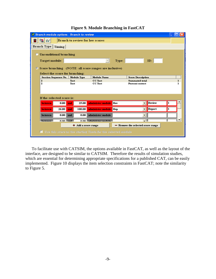| <b><i>P Branch module options - Branch to review</i></b>                                  |                                                      |                                                              |       |                                   |        |              |
|-------------------------------------------------------------------------------------------|------------------------------------------------------|--------------------------------------------------------------|-------|-----------------------------------|--------|--------------|
| ■∞                                                                                        | <b>Branch to review for low scores</b>               |                                                              |       |                                   |        |              |
| Branch Type Timing                                                                        |                                                      |                                                              |       |                                   |        |              |
| <b>Unconditional branching</b><br>o                                                       |                                                      |                                                              |       |                                   |        |              |
| <b>Target module:</b>                                                                     |                                                      |                                                              | Type: |                                   | ID:    |              |
| Score branching (NOTE: all score ranges are inclusive)<br>Select the score for branching: |                                                      |                                                              |       |                                   |        |              |
| <b>Session Sequence No.</b>                                                               | <b>Module Type</b>                                   | <b>Module Name</b>                                           |       | <b>Score Description</b>          |        |              |
| 2                                                                                         | Test                                                 | CC Test                                                      |       | <b>Summated total</b>             |        | $\mathbf{I}$ |
|                                                                                           | $\overline{2}$<br>CC Test<br>Test<br>Percent correct |                                                              |       |                                   |        |              |
| If the selected score is:                                                                 |                                                      |                                                              |       |                                   |        |              |
| 0.00<br>between                                                                           | 25.00<br>and                                         | administer module Rev                                        |       |                                   | Review |              |
| 26.00<br>between                                                                          | 100.00<br>and                                        | administer module Rep                                        |       |                                   | Report |              |
| 0.00<br>between                                                                           | 0.00<br>and                                          | administer module                                            |       |                                   |        |              |
| n nn L<br>hatuman                                                                         | A                                                    | 0.00 administer module                                       |       |                                   |        |              |
|                                                                                           | + Add a score range                                  |                                                              |       | - Remove the selected score range |        |              |
|                                                                                           |                                                      | Use this score as the starting Theta for the selected module |       |                                   |        |              |

#### **Figure 9. Module Branching in FastCAT**

To facilitate use with CATSIM, the options available in FastCAT, as well as the layout of the interface, are designed to be similar to CATSIM. Therefore the results of simulation studies, which are essential for determining appropriate specifications for a published CAT, can be easily implemented. Figure 10 displays the item selection constraints in FastCAT; note the similarity to Figure 5.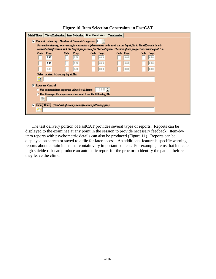|  |  |  | <b>Figure 10. Item Selection Constraints in FastCAT</b> |  |  |
|--|--|--|---------------------------------------------------------|--|--|
|--|--|--|---------------------------------------------------------|--|--|

| Initial Theta |      |                         | Theta Estimation   Item Selection   Item Constraints                     |       |            | Termination                                                                                                                  |      |            |  |  |
|---------------|------|-------------------------|--------------------------------------------------------------------------|-------|------------|------------------------------------------------------------------------------------------------------------------------------|------|------------|--|--|
| ▿             |      |                         | Content Balancing: Number of Content Categories 2                        |       |            |                                                                                                                              |      |            |  |  |
|               |      |                         |                                                                          |       |            | For each category, enter a single-character alphanumeric code used on the input file to identify each item's                 |      |            |  |  |
|               | Code | Prop.                   | Code                                                                     | Prop. | Code Prop. | content classification and the target proportion for that category. The sum of the proportions must equal 1.0.<br>Code Prop. |      | Code Prop. |  |  |
|               |      | 0.00                    |                                                                          | 0.00  | 0.00       |                                                                                                                              | 0.00 | 0.00       |  |  |
|               |      | 0.00                    |                                                                          | 0.00  | 0.00       |                                                                                                                              | 0.00 | 0.00       |  |  |
|               |      | 0.00                    |                                                                          | 0.00  | 0.00       |                                                                                                                              | 0.00 | 0.00       |  |  |
|               |      |                         | Select content balancing imput file:                                     |       |            |                                                                                                                              |      |            |  |  |
|               | 噕    |                         |                                                                          |       |            |                                                                                                                              |      |            |  |  |
| ⊽             |      | <b>Exposure Control</b> |                                                                          |       |            |                                                                                                                              |      |            |  |  |
|               |      |                         | $\bigcirc$ Use constant item exposure value for all items:               |       | 0.000      |                                                                                                                              |      |            |  |  |
|               |      |                         | <b>C</b> Use item-specific exposure values read from the following file: |       |            |                                                                                                                              |      |            |  |  |
|               | 最    |                         |                                                                          |       |            |                                                                                                                              |      |            |  |  |
| ☞             |      |                         | Enemy Items: (Read list of enemy items from the following file):         |       |            |                                                                                                                              |      |            |  |  |
|               | B    |                         |                                                                          |       |            |                                                                                                                              |      |            |  |  |
|               |      |                         |                                                                          |       |            |                                                                                                                              |      |            |  |  |

The test delivery portion of FastCAT provides several types of reports. Reports can be displayed to the examinee at any point in the session to provide necessary feedback. Item-byitem reports with psychometric details can also be produced (Figure 11). Reports can be displayed on screen or saved to a file for later access. An additional feature is specific warning reports about certain items that contain very important content. For example, items that indicate high suicide risk can produce an automatic report for the proctor to identify the patient before they leave the clinic.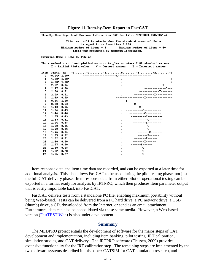| Item-By-Item Report of Maximum Information CAT for file: SESSION1.PREVIEW 42                                                                                                                                 |  |  |  |  |  |  |
|--------------------------------------------------------------------------------------------------------------------------------------------------------------------------------------------------------------|--|--|--|--|--|--|
| This test will terminate when the standard error of theta<br>is equal to or less than 0.200<br>Minimum number of items $= 5$<br>Maximum number of items $= 40$<br>Theta was estimated by maximum likelihood. |  |  |  |  |  |  |
| Examinee Name : John Q. Public                                                                                                                                                                               |  |  |  |  |  |  |
| The standard error band plotted as ---- is plus or minus 2.00 standard errors.<br>$X = Initial theta value$ $C = Correct answer$ $I = Incorrect answer$                                                      |  |  |  |  |  |  |
| Item<br>Theta<br>SE                                                                                                                                                                                          |  |  |  |  |  |  |
| 0<br>$-0.24$ * 1.00*                                                                                                                                                                                         |  |  |  |  |  |  |
| ---------------------><br>1<br>$4.00*$<br>$1.00*$<br>$\blacksquare$                                                                                                                                          |  |  |  |  |  |  |
| ---------------------><br>2<br>$4.00*$ 1.00*                                                                                                                                                                 |  |  |  |  |  |  |
| ----------------------------<br>з<br>2.52<br>0.84                                                                                                                                                            |  |  |  |  |  |  |
| --------------------<br>4<br>2.77<br>0.68                                                                                                                                                                    |  |  |  |  |  |  |
| -------------T-------<br>2.38<br>5<br>0.61                                                                                                                                                                   |  |  |  |  |  |  |
| -------------T----------<br>6<br>2.09<br>0.61                                                                                                                                                                |  |  |  |  |  |  |
| -----------------T----------------<br>7<br>0.89<br>1.49                                                                                                                                                      |  |  |  |  |  |  |
| 1.00<br>8<br>0.36                                                                                                                                                                                            |  |  |  |  |  |  |
| -----------------------------<br>9<br>0.63<br>0.88                                                                                                                                                           |  |  |  |  |  |  |
| -------------------------<br>1.13<br>0.56<br>10                                                                                                                                                              |  |  |  |  |  |  |
| -----------------------<br>1.34<br>0.49<br>11                                                                                                                                                                |  |  |  |  |  |  |
| 12<br>1.44<br>0.46                                                                                                                                                                                           |  |  |  |  |  |  |
| ----------------------<br>1.55<br>0.43<br>13                                                                                                                                                                 |  |  |  |  |  |  |
| ------------------<br>1.67<br>0.41<br>14                                                                                                                                                                     |  |  |  |  |  |  |
| --------T--------<br>1.54<br>0.38<br>15                                                                                                                                                                      |  |  |  |  |  |  |
| ----------------<br>1.60<br>0.36<br>16                                                                                                                                                                       |  |  |  |  |  |  |
| 1.70<br>0.35<br>17                                                                                                                                                                                           |  |  |  |  |  |  |
| ----------------<br>1.76<br>0.34<br>18                                                                                                                                                                       |  |  |  |  |  |  |
| $---I---$<br>1.65<br>0.32<br>19                                                                                                                                                                              |  |  |  |  |  |  |
| $-----I-----$<br>20<br>1.52<br>0.31                                                                                                                                                                          |  |  |  |  |  |  |
| $-----I----$<br>21<br>1.40<br>0.30                                                                                                                                                                           |  |  |  |  |  |  |
| ------T------<br>22<br>1.27<br>0.30                                                                                                                                                                          |  |  |  |  |  |  |
| ------C-----<br>1.30<br>0.28<br>23                                                                                                                                                                           |  |  |  |  |  |  |
| ------C-----<br>1.32<br>0.28<br>24                                                                                                                                                                           |  |  |  |  |  |  |
| $---C---$<br>1.36<br>25<br>0.27                                                                                                                                                                              |  |  |  |  |  |  |

**Figure 11. Item-by-Item Report in FastCAT**

Item response data and item time data are recorded, and can be exported at a later time for additional analysis. This also allows FastCAT to be used during the pilot testing phase, not just the full CAT delivery phase. Item response data from either pilot or operational testing can be exported in a format ready for analysis by IRTPRO, which then produces item parameter output that is easily importable back into FastCAT.

FastCAT delivers tests from a standalone PC file, enabling maximum portability without being Web-based. Tests can be delivered from a PC hard drive, a PC network drive, a USB (thumb) drive, a CD, downloaded from the Internet, or send as an email attachment. Furthermore, data can also be consolidated via these same media. However, a Web-based version (**FastTEST** Web) is also under development.

#### **Summary**

The MEDPRO project entails the development of software for the major steps of CAT development and implementation, including item banking, pilot testing, IRT calibration, simulation studies, and CAT delivery. The IRTPRO software (Thissen, 2009) provides extensive functionality for the IRT calibration step. The remaining steps are implemented by the two software systems described in this paper: CATSIM for CAT simulation research, and